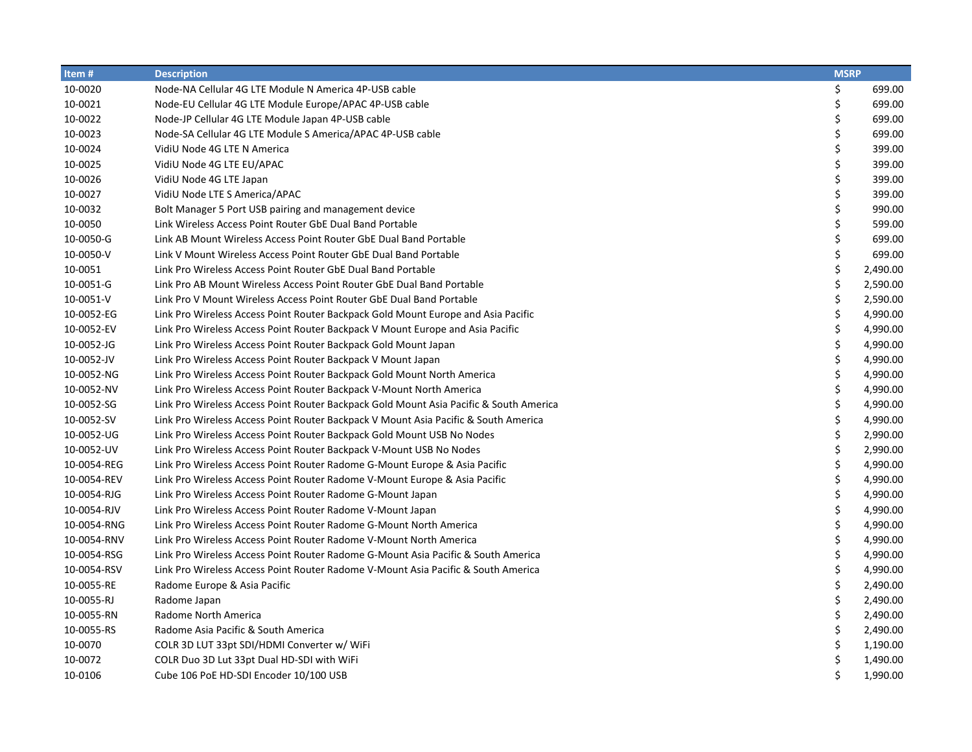| Item#       | <b>Description</b>                                                                     | <b>MSRP</b> |          |
|-------------|----------------------------------------------------------------------------------------|-------------|----------|
| 10-0020     | Node-NA Cellular 4G LTE Module N America 4P-USB cable                                  | \$          | 699.00   |
| 10-0021     | Node-EU Cellular 4G LTE Module Europe/APAC 4P-USB cable                                | \$          | 699.00   |
| 10-0022     | Node-JP Cellular 4G LTE Module Japan 4P-USB cable                                      | \$          | 699.00   |
| 10-0023     | Node-SA Cellular 4G LTE Module S America/APAC 4P-USB cable                             | \$          | 699.00   |
| 10-0024     | VidiU Node 4G LTE N America                                                            | \$          | 399.00   |
| 10-0025     | VidiU Node 4G LTE EU/APAC                                                              | \$          | 399.00   |
| 10-0026     | VidiU Node 4G LTE Japan                                                                | \$          | 399.00   |
| 10-0027     | VidiU Node LTE S America/APAC                                                          | \$          | 399.00   |
| 10-0032     | Bolt Manager 5 Port USB pairing and management device                                  | \$          | 990.00   |
| 10-0050     | Link Wireless Access Point Router GbE Dual Band Portable                               | \$          | 599.00   |
| 10-0050-G   | Link AB Mount Wireless Access Point Router GbE Dual Band Portable                      | \$          | 699.00   |
| 10-0050-V   | Link V Mount Wireless Access Point Router GbE Dual Band Portable                       | \$          | 699.00   |
| 10-0051     | Link Pro Wireless Access Point Router GbE Dual Band Portable                           | \$          | 2,490.00 |
| 10-0051-G   | Link Pro AB Mount Wireless Access Point Router GbE Dual Band Portable                  | \$          | 2,590.00 |
| 10-0051-V   | Link Pro V Mount Wireless Access Point Router GbE Dual Band Portable                   | \$          | 2,590.00 |
| 10-0052-EG  | Link Pro Wireless Access Point Router Backpack Gold Mount Europe and Asia Pacific      | \$          | 4,990.00 |
| 10-0052-EV  | Link Pro Wireless Access Point Router Backpack V Mount Europe and Asia Pacific         | \$          | 4,990.00 |
| 10-0052-JG  | Link Pro Wireless Access Point Router Backpack Gold Mount Japan                        | \$          | 4,990.00 |
| 10-0052-JV  | Link Pro Wireless Access Point Router Backpack V Mount Japan                           | \$          | 4,990.00 |
| 10-0052-NG  | Link Pro Wireless Access Point Router Backpack Gold Mount North America                | \$          | 4,990.00 |
| 10-0052-NV  | Link Pro Wireless Access Point Router Backpack V-Mount North America                   | \$          | 4,990.00 |
| 10-0052-SG  | Link Pro Wireless Access Point Router Backpack Gold Mount Asia Pacific & South America | \$          | 4,990.00 |
| 10-0052-SV  | Link Pro Wireless Access Point Router Backpack V Mount Asia Pacific & South America    | \$          | 4,990.00 |
| 10-0052-UG  | Link Pro Wireless Access Point Router Backpack Gold Mount USB No Nodes                 | \$          | 2,990.00 |
| 10-0052-UV  | Link Pro Wireless Access Point Router Backpack V-Mount USB No Nodes                    | \$          | 2,990.00 |
| 10-0054-REG | Link Pro Wireless Access Point Router Radome G-Mount Europe & Asia Pacific             | \$          | 4,990.00 |
| 10-0054-REV | Link Pro Wireless Access Point Router Radome V-Mount Europe & Asia Pacific             | \$          | 4,990.00 |
| 10-0054-RJG | Link Pro Wireless Access Point Router Radome G-Mount Japan                             | \$          | 4,990.00 |
| 10-0054-RJV | Link Pro Wireless Access Point Router Radome V-Mount Japan                             | \$          | 4,990.00 |
| 10-0054-RNG | Link Pro Wireless Access Point Router Radome G-Mount North America                     | \$          | 4,990.00 |
| 10-0054-RNV | Link Pro Wireless Access Point Router Radome V-Mount North America                     | \$          | 4,990.00 |
| 10-0054-RSG | Link Pro Wireless Access Point Router Radome G-Mount Asia Pacific & South America      | \$          | 4,990.00 |
| 10-0054-RSV | Link Pro Wireless Access Point Router Radome V-Mount Asia Pacific & South America      | \$          | 4,990.00 |
| 10-0055-RE  | Radome Europe & Asia Pacific                                                           | \$          | 2,490.00 |
| 10-0055-RJ  | Radome Japan                                                                           | \$          | 2,490.00 |
| 10-0055-RN  | Radome North America                                                                   | \$          | 2,490.00 |
| 10-0055-RS  | Radome Asia Pacific & South America                                                    | \$          | 2,490.00 |
| 10-0070     | COLR 3D LUT 33pt SDI/HDMI Converter w/ WiFi                                            | \$          | 1,190.00 |
| 10-0072     | COLR Duo 3D Lut 33pt Dual HD-SDI with WiFi                                             | \$          | 1,490.00 |
| 10-0106     | Cube 106 PoE HD-SDI Encoder 10/100 USB                                                 | \$          | 1,990.00 |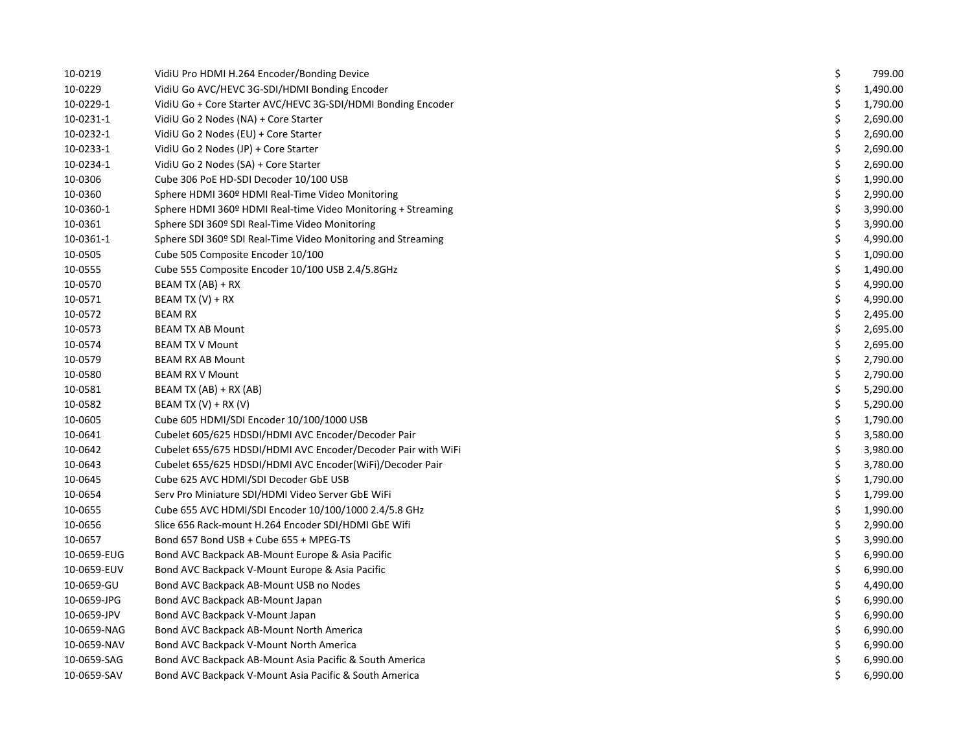| 10-0219     | VidiU Pro HDMI H.264 Encoder/Bonding Device                   | \$<br>799.00   |
|-------------|---------------------------------------------------------------|----------------|
| 10-0229     | VidiU Go AVC/HEVC 3G-SDI/HDMI Bonding Encoder                 | \$<br>1,490.00 |
| 10-0229-1   | VidiU Go + Core Starter AVC/HEVC 3G-SDI/HDMI Bonding Encoder  | \$<br>1,790.00 |
| 10-0231-1   | VidiU Go 2 Nodes (NA) + Core Starter                          | \$<br>2,690.00 |
| 10-0232-1   | VidiU Go 2 Nodes (EU) + Core Starter                          | \$<br>2,690.00 |
| 10-0233-1   | VidiU Go 2 Nodes (JP) + Core Starter                          | \$<br>2,690.00 |
| 10-0234-1   | VidiU Go 2 Nodes (SA) + Core Starter                          | \$<br>2,690.00 |
| 10-0306     | Cube 306 PoE HD-SDI Decoder 10/100 USB                        | \$<br>1,990.00 |
| 10-0360     | Sphere HDMI 360º HDMI Real-Time Video Monitoring              | \$<br>2,990.00 |
| 10-0360-1   | Sphere HDMI 360º HDMI Real-time Video Monitoring + Streaming  | \$<br>3,990.00 |
| 10-0361     | Sphere SDI 360º SDI Real-Time Video Monitoring                | \$<br>3,990.00 |
| 10-0361-1   | Sphere SDI 360º SDI Real-Time Video Monitoring and Streaming  | \$<br>4,990.00 |
| 10-0505     | Cube 505 Composite Encoder 10/100                             | \$<br>1,090.00 |
| 10-0555     | Cube 555 Composite Encoder 10/100 USB 2.4/5.8GHz              | \$<br>1,490.00 |
| 10-0570     | BEAM TX (AB) + RX                                             | \$<br>4,990.00 |
| 10-0571     | BEAM TX $(V)$ + RX                                            | \$<br>4,990.00 |
| 10-0572     | <b>BEAM RX</b>                                                | \$<br>2,495.00 |
| 10-0573     | <b>BEAM TX AB Mount</b>                                       | \$<br>2,695.00 |
| 10-0574     | <b>BEAM TX V Mount</b>                                        | \$<br>2,695.00 |
| 10-0579     | <b>BEAM RX AB Mount</b>                                       | \$<br>2,790.00 |
| 10-0580     | <b>BEAM RX V Mount</b>                                        | \$<br>2,790.00 |
| 10-0581     | BEAM TX (AB) + RX (AB)                                        | \$<br>5,290.00 |
| 10-0582     | BEAM TX $(V)$ + RX $(V)$                                      | \$<br>5,290.00 |
| 10-0605     | Cube 605 HDMI/SDI Encoder 10/100/1000 USB                     | \$<br>1,790.00 |
| 10-0641     | Cubelet 605/625 HDSDI/HDMI AVC Encoder/Decoder Pair           | \$<br>3,580.00 |
| 10-0642     | Cubelet 655/675 HDSDI/HDMI AVC Encoder/Decoder Pair with WiFi | \$<br>3,980.00 |
| 10-0643     | Cubelet 655/625 HDSDI/HDMI AVC Encoder(WiFi)/Decoder Pair     | \$<br>3,780.00 |
| 10-0645     | Cube 625 AVC HDMI/SDI Decoder GbE USB                         | \$<br>1,790.00 |
| 10-0654     | Serv Pro Miniature SDI/HDMI Video Server GbE WiFi             | \$<br>1,799.00 |
| 10-0655     | Cube 655 AVC HDMI/SDI Encoder 10/100/1000 2.4/5.8 GHz         | \$<br>1,990.00 |
| 10-0656     | Slice 656 Rack-mount H.264 Encoder SDI/HDMI GbE Wifi          | \$<br>2,990.00 |
| 10-0657     | Bond 657 Bond USB + Cube 655 + MPEG-TS                        | \$<br>3,990.00 |
| 10-0659-EUG | Bond AVC Backpack AB-Mount Europe & Asia Pacific              | \$<br>6,990.00 |
| 10-0659-EUV | Bond AVC Backpack V-Mount Europe & Asia Pacific               | \$<br>6,990.00 |
| 10-0659-GU  | Bond AVC Backpack AB-Mount USB no Nodes                       | \$<br>4,490.00 |
| 10-0659-JPG | Bond AVC Backpack AB-Mount Japan                              | \$<br>6,990.00 |
| 10-0659-JPV | Bond AVC Backpack V-Mount Japan                               | \$<br>6,990.00 |
| 10-0659-NAG | Bond AVC Backpack AB-Mount North America                      | \$<br>6,990.00 |
| 10-0659-NAV | Bond AVC Backpack V-Mount North America                       | \$<br>6,990.00 |
| 10-0659-SAG | Bond AVC Backpack AB-Mount Asia Pacific & South America       | \$<br>6,990.00 |
| 10-0659-SAV | Bond AVC Backpack V-Mount Asia Pacific & South America        | \$<br>6,990.00 |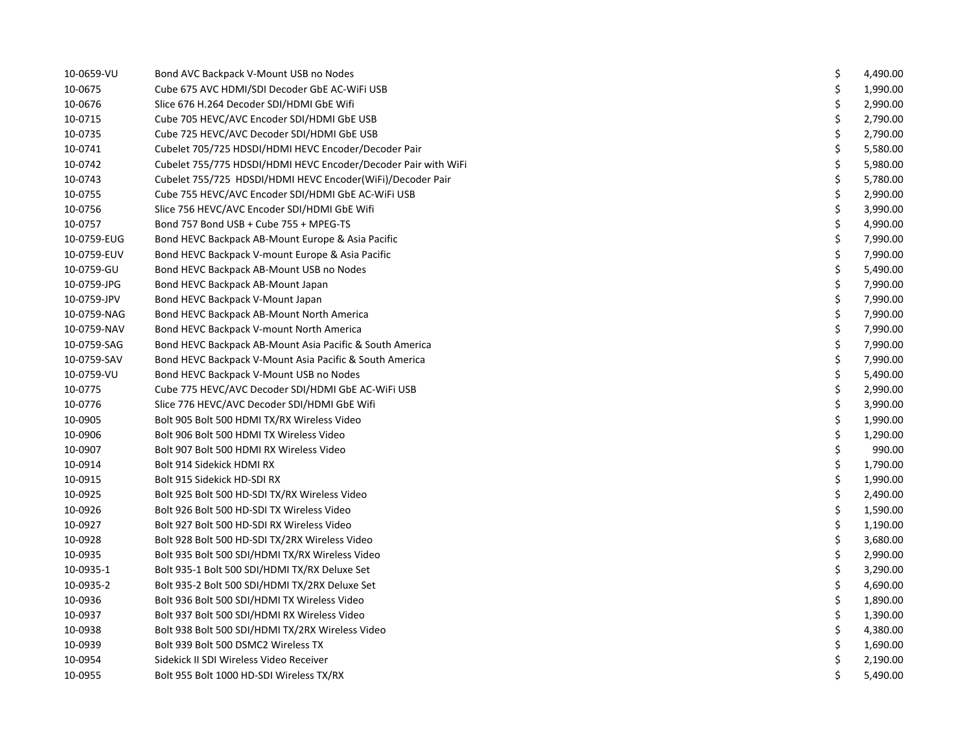| 10-0659-VU  | Bond AVC Backpack V-Mount USB no Nodes                         | \$ | 4,490.00 |
|-------------|----------------------------------------------------------------|----|----------|
| 10-0675     | Cube 675 AVC HDMI/SDI Decoder GbE AC-WiFi USB                  | \$ | 1,990.00 |
| 10-0676     | Slice 676 H.264 Decoder SDI/HDMI GbE Wifi                      | \$ | 2,990.00 |
| 10-0715     | Cube 705 HEVC/AVC Encoder SDI/HDMI GbE USB                     | \$ | 2,790.00 |
| 10-0735     | Cube 725 HEVC/AVC Decoder SDI/HDMI GbE USB                     | \$ | 2,790.00 |
| 10-0741     | Cubelet 705/725 HDSDI/HDMI HEVC Encoder/Decoder Pair           | \$ | 5,580.00 |
| 10-0742     | Cubelet 755/775 HDSDI/HDMI HEVC Encoder/Decoder Pair with WiFi | \$ | 5,980.00 |
| 10-0743     | Cubelet 755/725 HDSDI/HDMI HEVC Encoder(WiFi)/Decoder Pair     | \$ | 5,780.00 |
| 10-0755     | Cube 755 HEVC/AVC Encoder SDI/HDMI GbE AC-WiFi USB             | \$ | 2,990.00 |
| 10-0756     | Slice 756 HEVC/AVC Encoder SDI/HDMI GbE Wifi                   | \$ | 3,990.00 |
| 10-0757     | Bond 757 Bond USB + Cube 755 + MPEG-TS                         | \$ | 4,990.00 |
| 10-0759-EUG | Bond HEVC Backpack AB-Mount Europe & Asia Pacific              | \$ | 7,990.00 |
| 10-0759-EUV | Bond HEVC Backpack V-mount Europe & Asia Pacific               | \$ | 7,990.00 |
| 10-0759-GU  | Bond HEVC Backpack AB-Mount USB no Nodes                       | \$ | 5,490.00 |
| 10-0759-JPG | Bond HEVC Backpack AB-Mount Japan                              | \$ | 7,990.00 |
| 10-0759-JPV | Bond HEVC Backpack V-Mount Japan                               | \$ | 7,990.00 |
| 10-0759-NAG | Bond HEVC Backpack AB-Mount North America                      | \$ | 7,990.00 |
| 10-0759-NAV | Bond HEVC Backpack V-mount North America                       | \$ | 7,990.00 |
| 10-0759-SAG | Bond HEVC Backpack AB-Mount Asia Pacific & South America       | \$ | 7,990.00 |
| 10-0759-SAV | Bond HEVC Backpack V-Mount Asia Pacific & South America        | \$ | 7,990.00 |
| 10-0759-VU  | Bond HEVC Backpack V-Mount USB no Nodes                        | \$ | 5,490.00 |
| 10-0775     | Cube 775 HEVC/AVC Decoder SDI/HDMI GbE AC-WiFi USB             | \$ | 2,990.00 |
| 10-0776     | Slice 776 HEVC/AVC Decoder SDI/HDMI GbE Wifi                   | \$ | 3,990.00 |
| 10-0905     | Bolt 905 Bolt 500 HDMI TX/RX Wireless Video                    | \$ | 1,990.00 |
| 10-0906     | Bolt 906 Bolt 500 HDMI TX Wireless Video                       | \$ | 1,290.00 |
| 10-0907     | Bolt 907 Bolt 500 HDMI RX Wireless Video                       | \$ | 990.00   |
| 10-0914     | Bolt 914 Sidekick HDMI RX                                      | \$ | 1,790.00 |
| 10-0915     | Bolt 915 Sidekick HD-SDI RX                                    | \$ | 1,990.00 |
| 10-0925     | Bolt 925 Bolt 500 HD-SDI TX/RX Wireless Video                  | \$ | 2,490.00 |
| 10-0926     | Bolt 926 Bolt 500 HD-SDI TX Wireless Video                     | \$ | 1,590.00 |
| 10-0927     | Bolt 927 Bolt 500 HD-SDI RX Wireless Video                     | \$ | 1,190.00 |
| 10-0928     | Bolt 928 Bolt 500 HD-SDI TX/2RX Wireless Video                 | \$ | 3,680.00 |
| 10-0935     | Bolt 935 Bolt 500 SDI/HDMI TX/RX Wireless Video                | \$ | 2,990.00 |
| 10-0935-1   | Bolt 935-1 Bolt 500 SDI/HDMI TX/RX Deluxe Set                  | \$ | 3,290.00 |
| 10-0935-2   | Bolt 935-2 Bolt 500 SDI/HDMI TX/2RX Deluxe Set                 | \$ | 4,690.00 |
| 10-0936     | Bolt 936 Bolt 500 SDI/HDMI TX Wireless Video                   | \$ | 1,890.00 |
| 10-0937     | Bolt 937 Bolt 500 SDI/HDMI RX Wireless Video                   | \$ | 1,390.00 |
| 10-0938     | Bolt 938 Bolt 500 SDI/HDMI TX/2RX Wireless Video               | \$ | 4,380.00 |
| 10-0939     | Bolt 939 Bolt 500 DSMC2 Wireless TX                            | \$ | 1,690.00 |
| 10-0954     | Sidekick II SDI Wireless Video Receiver                        | \$ | 2,190.00 |
| 10-0955     | Bolt 955 Bolt 1000 HD-SDI Wireless TX/RX                       | Ś. | 5,490.00 |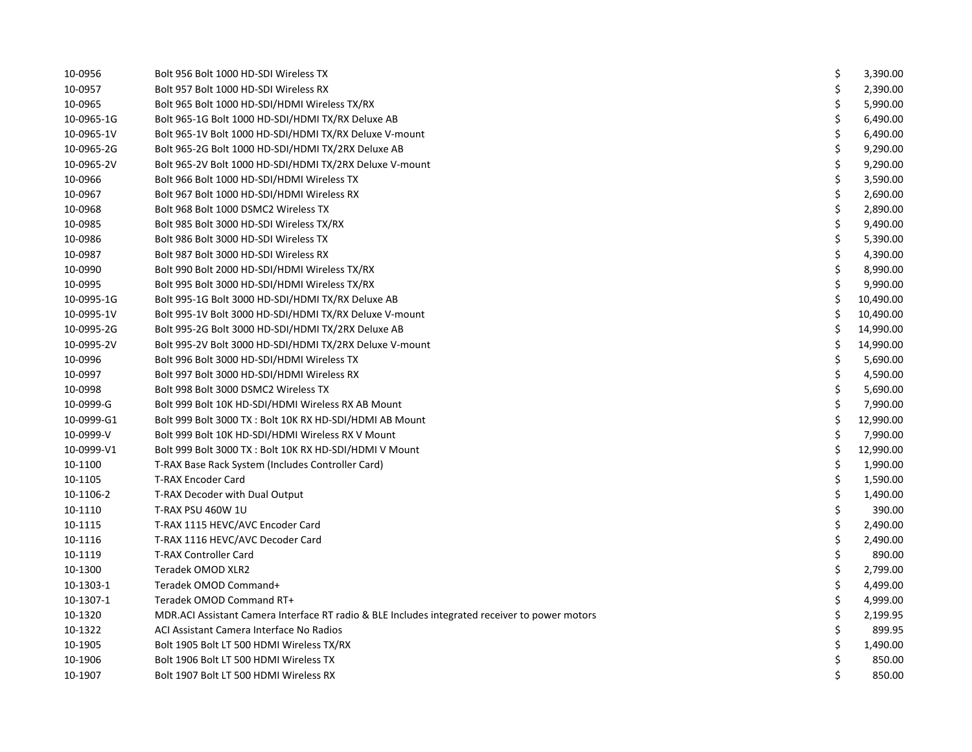| 10-0956    | Bolt 956 Bolt 1000 HD-SDI Wireless TX                                                          | \$<br>3,390.00  |
|------------|------------------------------------------------------------------------------------------------|-----------------|
| 10-0957    | Bolt 957 Bolt 1000 HD-SDI Wireless RX                                                          | \$<br>2,390.00  |
| 10-0965    | Bolt 965 Bolt 1000 HD-SDI/HDMI Wireless TX/RX                                                  | \$<br>5,990.00  |
| 10-0965-1G | Bolt 965-1G Bolt 1000 HD-SDI/HDMI TX/RX Deluxe AB                                              | \$<br>6,490.00  |
| 10-0965-1V | Bolt 965-1V Bolt 1000 HD-SDI/HDMI TX/RX Deluxe V-mount                                         | \$<br>6,490.00  |
| 10-0965-2G | Bolt 965-2G Bolt 1000 HD-SDI/HDMI TX/2RX Deluxe AB                                             | \$<br>9,290.00  |
| 10-0965-2V | Bolt 965-2V Bolt 1000 HD-SDI/HDMI TX/2RX Deluxe V-mount                                        | \$<br>9,290.00  |
| 10-0966    | Bolt 966 Bolt 1000 HD-SDI/HDMI Wireless TX                                                     | \$<br>3,590.00  |
| 10-0967    | Bolt 967 Bolt 1000 HD-SDI/HDMI Wireless RX                                                     | \$<br>2,690.00  |
| 10-0968    | Bolt 968 Bolt 1000 DSMC2 Wireless TX                                                           | \$<br>2,890.00  |
| 10-0985    | Bolt 985 Bolt 3000 HD-SDI Wireless TX/RX                                                       | \$<br>9,490.00  |
| 10-0986    | Bolt 986 Bolt 3000 HD-SDI Wireless TX                                                          | \$<br>5,390.00  |
| 10-0987    | Bolt 987 Bolt 3000 HD-SDI Wireless RX                                                          | \$<br>4,390.00  |
| 10-0990    | Bolt 990 Bolt 2000 HD-SDI/HDMI Wireless TX/RX                                                  | \$<br>8,990.00  |
| 10-0995    | Bolt 995 Bolt 3000 HD-SDI/HDMI Wireless TX/RX                                                  | \$<br>9,990.00  |
| 10-0995-1G | Bolt 995-1G Bolt 3000 HD-SDI/HDMI TX/RX Deluxe AB                                              | \$<br>10,490.00 |
| 10-0995-1V | Bolt 995-1V Bolt 3000 HD-SDI/HDMI TX/RX Deluxe V-mount                                         | \$<br>10,490.00 |
| 10-0995-2G | Bolt 995-2G Bolt 3000 HD-SDI/HDMI TX/2RX Deluxe AB                                             | \$<br>14,990.00 |
| 10-0995-2V | Bolt 995-2V Bolt 3000 HD-SDI/HDMI TX/2RX Deluxe V-mount                                        | \$<br>14,990.00 |
| 10-0996    | Bolt 996 Bolt 3000 HD-SDI/HDMI Wireless TX                                                     | \$<br>5,690.00  |
| 10-0997    | Bolt 997 Bolt 3000 HD-SDI/HDMI Wireless RX                                                     | \$<br>4,590.00  |
| 10-0998    | Bolt 998 Bolt 3000 DSMC2 Wireless TX                                                           | \$<br>5,690.00  |
| 10-0999-G  | Bolt 999 Bolt 10K HD-SDI/HDMI Wireless RX AB Mount                                             | \$<br>7,990.00  |
| 10-0999-G1 | Bolt 999 Bolt 3000 TX: Bolt 10K RX HD-SDI/HDMI AB Mount                                        | \$<br>12,990.00 |
| 10-0999-V  | Bolt 999 Bolt 10K HD-SDI/HDMI Wireless RX V Mount                                              | \$<br>7,990.00  |
| 10-0999-V1 | Bolt 999 Bolt 3000 TX : Bolt 10K RX HD-SDI/HDMI V Mount                                        | \$<br>12,990.00 |
| 10-1100    | T-RAX Base Rack System (Includes Controller Card)                                              | \$<br>1,990.00  |
| 10-1105    | <b>T-RAX Encoder Card</b>                                                                      | \$<br>1,590.00  |
| 10-1106-2  | T-RAX Decoder with Dual Output                                                                 | \$<br>1,490.00  |
| 10-1110    | T-RAX PSU 460W 1U                                                                              | \$<br>390.00    |
| 10-1115    | T-RAX 1115 HEVC/AVC Encoder Card                                                               | \$<br>2,490.00  |
| 10-1116    | T-RAX 1116 HEVC/AVC Decoder Card                                                               | \$<br>2,490.00  |
| 10-1119    | <b>T-RAX Controller Card</b>                                                                   | \$<br>890.00    |
| 10-1300    | Teradek OMOD XLR2                                                                              | \$<br>2,799.00  |
| 10-1303-1  | Teradek OMOD Command+                                                                          | \$<br>4,499.00  |
| 10-1307-1  | Teradek OMOD Command RT+                                                                       | \$<br>4,999.00  |
| 10-1320    | MDR.ACI Assistant Camera Interface RT radio & BLE Includes integrated receiver to power motors | \$<br>2,199.95  |
| 10-1322    | ACI Assistant Camera Interface No Radios                                                       | \$<br>899.95    |
| 10-1905    | Bolt 1905 Bolt LT 500 HDMI Wireless TX/RX                                                      | \$<br>1,490.00  |
| 10-1906    | Bolt 1906 Bolt LT 500 HDMI Wireless TX                                                         | \$<br>850.00    |
| 10-1907    | Bolt 1907 Bolt LT 500 HDMI Wireless RX                                                         | \$<br>850.00    |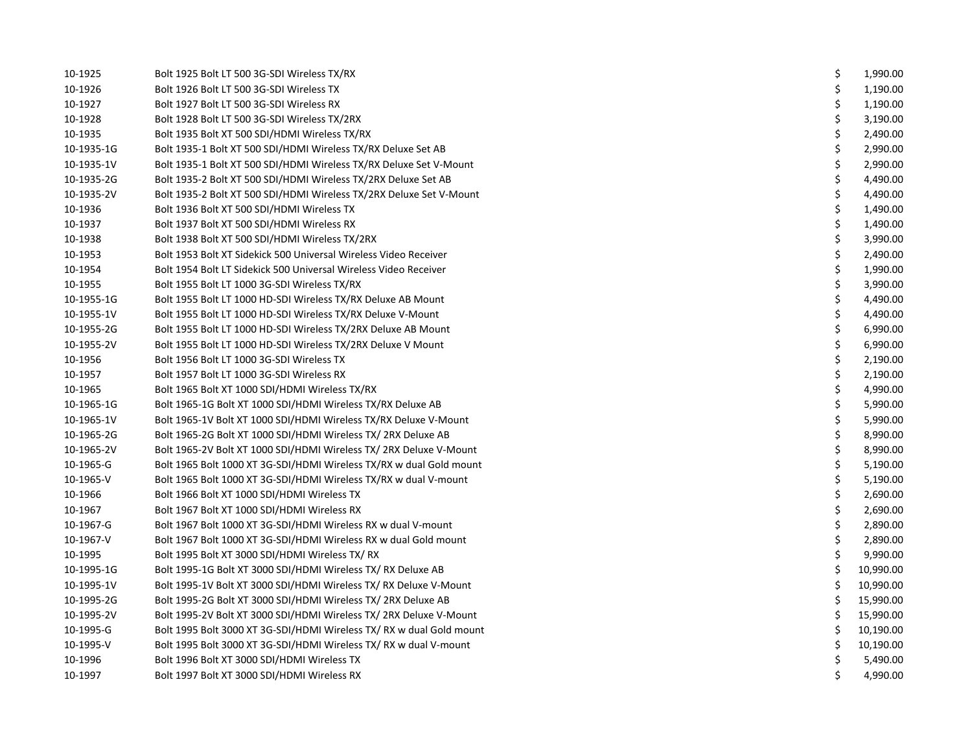| 10-1925    | Bolt 1925 Bolt LT 500 3G-SDI Wireless TX/RX                          | \$ | 1,990.00  |
|------------|----------------------------------------------------------------------|----|-----------|
| 10-1926    | Bolt 1926 Bolt LT 500 3G-SDI Wireless TX                             | \$ | 1,190.00  |
| 10-1927    | Bolt 1927 Bolt LT 500 3G-SDI Wireless RX                             | \$ | 1,190.00  |
| 10-1928    | Bolt 1928 Bolt LT 500 3G-SDI Wireless TX/2RX                         | \$ | 3,190.00  |
| 10-1935    | Bolt 1935 Bolt XT 500 SDI/HDMI Wireless TX/RX                        | \$ | 2,490.00  |
| 10-1935-1G | Bolt 1935-1 Bolt XT 500 SDI/HDMI Wireless TX/RX Deluxe Set AB        | \$ | 2,990.00  |
| 10-1935-1V | Bolt 1935-1 Bolt XT 500 SDI/HDMI Wireless TX/RX Deluxe Set V-Mount   | \$ | 2,990.00  |
| 10-1935-2G | Bolt 1935-2 Bolt XT 500 SDI/HDMI Wireless TX/2RX Deluxe Set AB       | \$ | 4,490.00  |
| 10-1935-2V | Bolt 1935-2 Bolt XT 500 SDI/HDMI Wireless TX/2RX Deluxe Set V-Mount  | \$ | 4,490.00  |
| 10-1936    | Bolt 1936 Bolt XT 500 SDI/HDMI Wireless TX                           | \$ | 1,490.00  |
| 10-1937    | Bolt 1937 Bolt XT 500 SDI/HDMI Wireless RX                           | \$ | 1,490.00  |
| 10-1938    | Bolt 1938 Bolt XT 500 SDI/HDMI Wireless TX/2RX                       | \$ | 3,990.00  |
| 10-1953    | Bolt 1953 Bolt XT Sidekick 500 Universal Wireless Video Receiver     | \$ | 2,490.00  |
| 10-1954    | Bolt 1954 Bolt LT Sidekick 500 Universal Wireless Video Receiver     | \$ | 1,990.00  |
| 10-1955    | Bolt 1955 Bolt LT 1000 3G-SDI Wireless TX/RX                         | \$ | 3,990.00  |
| 10-1955-1G | Bolt 1955 Bolt LT 1000 HD-SDI Wireless TX/RX Deluxe AB Mount         | \$ | 4,490.00  |
| 10-1955-1V | Bolt 1955 Bolt LT 1000 HD-SDI Wireless TX/RX Deluxe V-Mount          | \$ | 4,490.00  |
| 10-1955-2G | Bolt 1955 Bolt LT 1000 HD-SDI Wireless TX/2RX Deluxe AB Mount        | \$ | 6,990.00  |
| 10-1955-2V | Bolt 1955 Bolt LT 1000 HD-SDI Wireless TX/2RX Deluxe V Mount         | \$ | 6,990.00  |
| 10-1956    | Bolt 1956 Bolt LT 1000 3G-SDI Wireless TX                            | \$ | 2,190.00  |
| 10-1957    | Bolt 1957 Bolt LT 1000 3G-SDI Wireless RX                            | \$ | 2,190.00  |
| 10-1965    | Bolt 1965 Bolt XT 1000 SDI/HDMI Wireless TX/RX                       | \$ | 4,990.00  |
| 10-1965-1G | Bolt 1965-1G Bolt XT 1000 SDI/HDMI Wireless TX/RX Deluxe AB          | \$ | 5,990.00  |
| 10-1965-1V | Bolt 1965-1V Bolt XT 1000 SDI/HDMI Wireless TX/RX Deluxe V-Mount     | \$ | 5,990.00  |
| 10-1965-2G | Bolt 1965-2G Bolt XT 1000 SDI/HDMI Wireless TX/ 2RX Deluxe AB        | \$ | 8,990.00  |
| 10-1965-2V | Bolt 1965-2V Bolt XT 1000 SDI/HDMI Wireless TX/ 2RX Deluxe V-Mount   | \$ | 8,990.00  |
| 10-1965-G  | Bolt 1965 Bolt 1000 XT 3G-SDI/HDMI Wireless TX/RX w dual Gold mount  | \$ | 5,190.00  |
| 10-1965-V  | Bolt 1965 Bolt 1000 XT 3G-SDI/HDMI Wireless TX/RX w dual V-mount     | \$ | 5,190.00  |
| 10-1966    | Bolt 1966 Bolt XT 1000 SDI/HDMI Wireless TX                          | \$ | 2,690.00  |
| 10-1967    | Bolt 1967 Bolt XT 1000 SDI/HDMI Wireless RX                          | \$ | 2,690.00  |
| 10-1967-G  | Bolt 1967 Bolt 1000 XT 3G-SDI/HDMI Wireless RX w dual V-mount        | \$ | 2,890.00  |
| 10-1967-V  | Bolt 1967 Bolt 1000 XT 3G-SDI/HDMI Wireless RX w dual Gold mount     | \$ | 2,890.00  |
| 10-1995    | Bolt 1995 Bolt XT 3000 SDI/HDMI Wireless TX/RX                       | \$ | 9,990.00  |
| 10-1995-1G | Bolt 1995-1G Bolt XT 3000 SDI/HDMI Wireless TX/ RX Deluxe AB         | \$ | 10,990.00 |
| 10-1995-1V | Bolt 1995-1V Bolt XT 3000 SDI/HDMI Wireless TX/ RX Deluxe V-Mount    | \$ | 10,990.00 |
| 10-1995-2G | Bolt 1995-2G Bolt XT 3000 SDI/HDMI Wireless TX/ 2RX Deluxe AB        | \$ | 15,990.00 |
| 10-1995-2V | Bolt 1995-2V Bolt XT 3000 SDI/HDMI Wireless TX/ 2RX Deluxe V-Mount   | \$ | 15,990.00 |
| 10-1995-G  | Bolt 1995 Bolt 3000 XT 3G-SDI/HDMI Wireless TX/ RX w dual Gold mount | \$ | 10,190.00 |
| 10-1995-V  | Bolt 1995 Bolt 3000 XT 3G-SDI/HDMI Wireless TX/ RX w dual V-mount    | \$ | 10,190.00 |
| 10-1996    | Bolt 1996 Bolt XT 3000 SDI/HDMI Wireless TX                          | \$ | 5,490.00  |
| 10-1997    | Bolt 1997 Bolt XT 3000 SDI/HDMI Wireless RX                          | Ś. | 4,990.00  |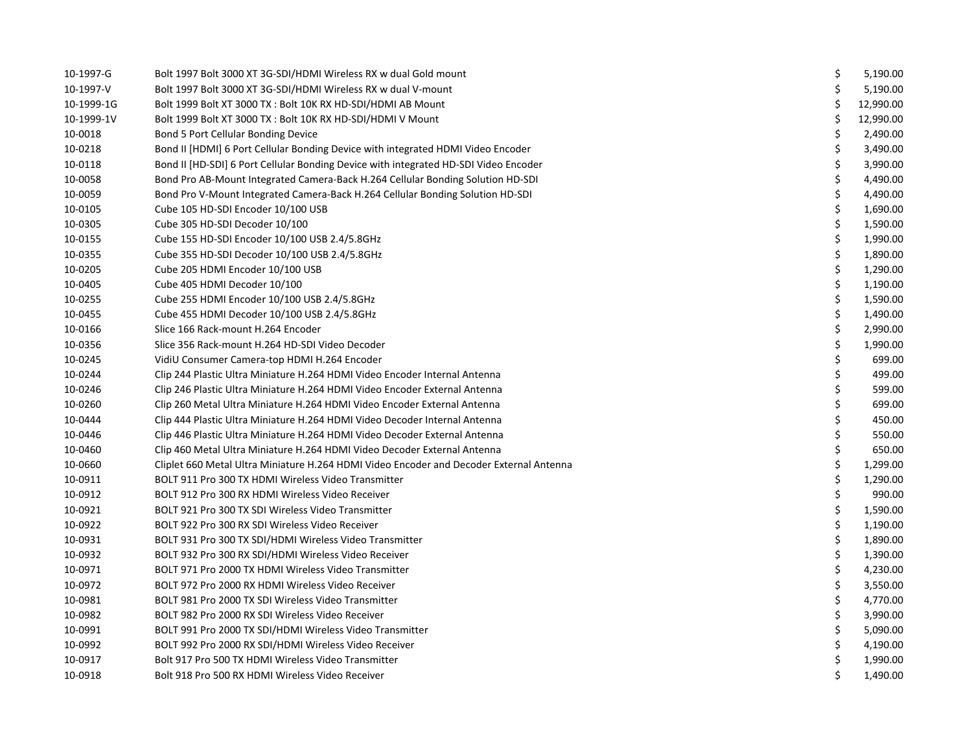| 10-1997-G  | Bolt 1997 Bolt 3000 XT 3G-SDI/HDMI Wireless RX w dual Gold mount                        | \$ | 5,190.00  |
|------------|-----------------------------------------------------------------------------------------|----|-----------|
| 10-1997-V  | Bolt 1997 Bolt 3000 XT 3G-SDI/HDMI Wireless RX w dual V-mount                           | Ś  | 5,190.00  |
| 10-1999-1G | Bolt 1999 Bolt XT 3000 TX : Bolt 10K RX HD-SDI/HDMI AB Mount                            | \$ | 12,990.00 |
| 10-1999-1V | Bolt 1999 Bolt XT 3000 TX : Bolt 10K RX HD-SDI/HDMI V Mount                             | \$ | 12,990.00 |
| 10-0018    | Bond 5 Port Cellular Bonding Device                                                     | \$ | 2,490.00  |
| 10-0218    | Bond II [HDMI] 6 Port Cellular Bonding Device with integrated HDMI Video Encoder        | \$ | 3,490.00  |
| 10-0118    | Bond II [HD-SDI] 6 Port Cellular Bonding Device with integrated HD-SDI Video Encoder    | \$ | 3,990.00  |
| 10-0058    | Bond Pro AB-Mount Integrated Camera-Back H.264 Cellular Bonding Solution HD-SDI         | \$ | 4,490.00  |
| 10-0059    | Bond Pro V-Mount Integrated Camera-Back H.264 Cellular Bonding Solution HD-SDI          | \$ | 4,490.00  |
| 10-0105    | Cube 105 HD-SDI Encoder 10/100 USB                                                      | \$ | 1,690.00  |
| 10-0305    | Cube 305 HD-SDI Decoder 10/100                                                          | \$ | 1,590.00  |
| 10-0155    | Cube 155 HD-SDI Encoder 10/100 USB 2.4/5.8GHz                                           | \$ | 1,990.00  |
| 10-0355    | Cube 355 HD-SDI Decoder 10/100 USB 2.4/5.8GHz                                           | \$ | 1,890.00  |
| 10-0205    | Cube 205 HDMI Encoder 10/100 USB                                                        | \$ | 1,290.00  |
| 10-0405    | Cube 405 HDMI Decoder 10/100                                                            | \$ | 1,190.00  |
| 10-0255    | Cube 255 HDMI Encoder 10/100 USB 2.4/5.8GHz                                             | \$ | 1,590.00  |
| 10-0455    | Cube 455 HDMI Decoder 10/100 USB 2.4/5.8GHz                                             | \$ | 1,490.00  |
| 10-0166    | Slice 166 Rack-mount H.264 Encoder                                                      | \$ | 2,990.00  |
| 10-0356    | Slice 356 Rack-mount H.264 HD-SDI Video Decoder                                         | \$ | 1,990.00  |
| 10-0245    | VidiU Consumer Camera-top HDMI H.264 Encoder                                            | \$ | 699.00    |
| 10-0244    | Clip 244 Plastic Ultra Miniature H.264 HDMI Video Encoder Internal Antenna              | \$ | 499.00    |
| 10-0246    | Clip 246 Plastic Ultra Miniature H.264 HDMI Video Encoder External Antenna              | \$ | 599.00    |
| 10-0260    | Clip 260 Metal Ultra Miniature H.264 HDMI Video Encoder External Antenna                | \$ | 699.00    |
| 10-0444    | Clip 444 Plastic Ultra Miniature H.264 HDMI Video Decoder Internal Antenna              | \$ | 450.00    |
| 10-0446    | Clip 446 Plastic Ultra Miniature H.264 HDMI Video Decoder External Antenna              | \$ | 550.00    |
| 10-0460    | Clip 460 Metal Ultra Miniature H.264 HDMI Video Decoder External Antenna                | \$ | 650.00    |
| 10-0660    | Cliplet 660 Metal Ultra Miniature H.264 HDMI Video Encoder and Decoder External Antenna | \$ | 1,299.00  |
| 10-0911    | BOLT 911 Pro 300 TX HDMI Wireless Video Transmitter                                     | \$ | 1,290.00  |
| 10-0912    | BOLT 912 Pro 300 RX HDMI Wireless Video Receiver                                        | \$ | 990.00    |
| 10-0921    | BOLT 921 Pro 300 TX SDI Wireless Video Transmitter                                      | \$ | 1,590.00  |
| 10-0922    | BOLT 922 Pro 300 RX SDI Wireless Video Receiver                                         | \$ | 1,190.00  |
| 10-0931    | BOLT 931 Pro 300 TX SDI/HDMI Wireless Video Transmitter                                 | \$ | 1,890.00  |
| 10-0932    | BOLT 932 Pro 300 RX SDI/HDMI Wireless Video Receiver                                    | \$ | 1,390.00  |
| 10-0971    | BOLT 971 Pro 2000 TX HDMI Wireless Video Transmitter                                    | \$ | 4,230.00  |
| 10-0972    | BOLT 972 Pro 2000 RX HDMI Wireless Video Receiver                                       | \$ | 3,550.00  |
| 10-0981    | BOLT 981 Pro 2000 TX SDI Wireless Video Transmitter                                     | \$ | 4,770.00  |
| 10-0982    | BOLT 982 Pro 2000 RX SDI Wireless Video Receiver                                        | \$ | 3,990.00  |
| 10-0991    | BOLT 991 Pro 2000 TX SDI/HDMI Wireless Video Transmitter                                | \$ | 5,090.00  |
| 10-0992    | BOLT 992 Pro 2000 RX SDI/HDMI Wireless Video Receiver                                   | \$ | 4,190.00  |
| 10-0917    | Bolt 917 Pro 500 TX HDMI Wireless Video Transmitter                                     | \$ | 1,990.00  |
| 10-0918    | Bolt 918 Pro 500 RX HDMI Wireless Video Receiver                                        | \$ | 1,490.00  |